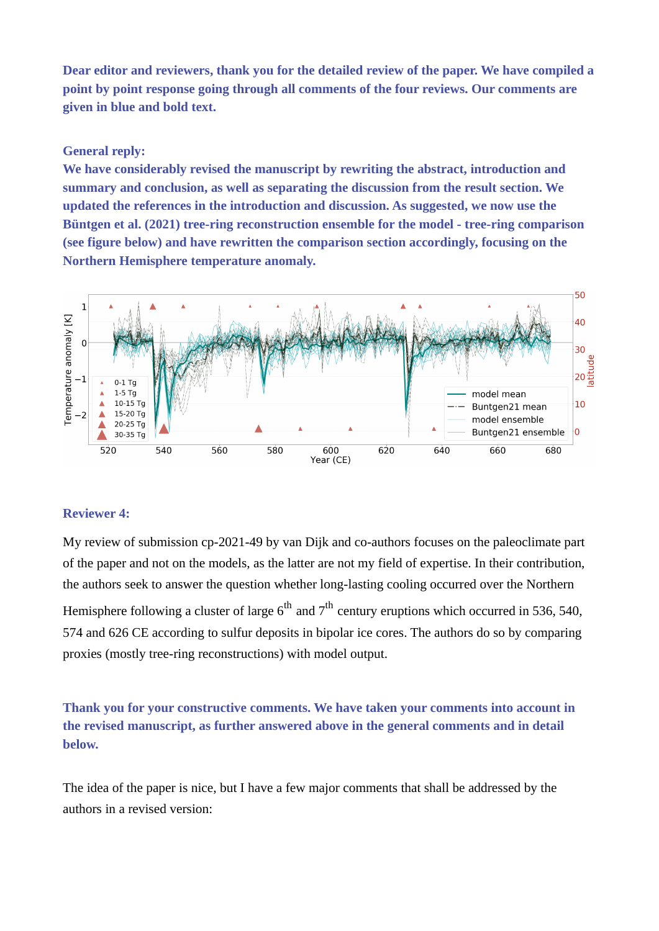**Dear editor and reviewers, thank you for the detailed review of the paper. We have compiled a point by point response going through all comments of the four reviews. Our comments are given in blue and bold text.**

## **General reply:**

**We have considerably revised the manuscript by rewriting the abstract, introduction and summary and conclusion, as well as separating the discussion from the result section. We updated the references in the introduction and discussion. As suggested, we now use the Büntgen et al. (2021) tree-ring reconstruction ensemble for the model - tree-ring comparison (see figure below) and have rewritten the comparison section accordingly, focusing on the Northern Hemisphere temperature anomaly.** 



## **Reviewer 4:**

My review of submission cp-2021-49 by van Dijk and co-authors focuses on the paleoclimate part of the paper and not on the models, as the latter are not my field of expertise. In their contribution, the authors seek to answer the question whether long-lasting cooling occurred over the Northern Hemisphere following a cluster of large  $6<sup>th</sup>$  and  $7<sup>th</sup>$  century eruptions which occurred in 536, 540, 574 and 626 CE according to sulfur deposits in bipolar ice cores. The authors do so by comparing proxies (mostly tree-ring reconstructions) with model output.

**Thank you for your constructive comments. We have taken your comments into account in the revised manuscript, as further answered above in the general comments and in detail below.**

The idea of the paper is nice, but I have a few major comments that shall be addressed by the authors in a revised version: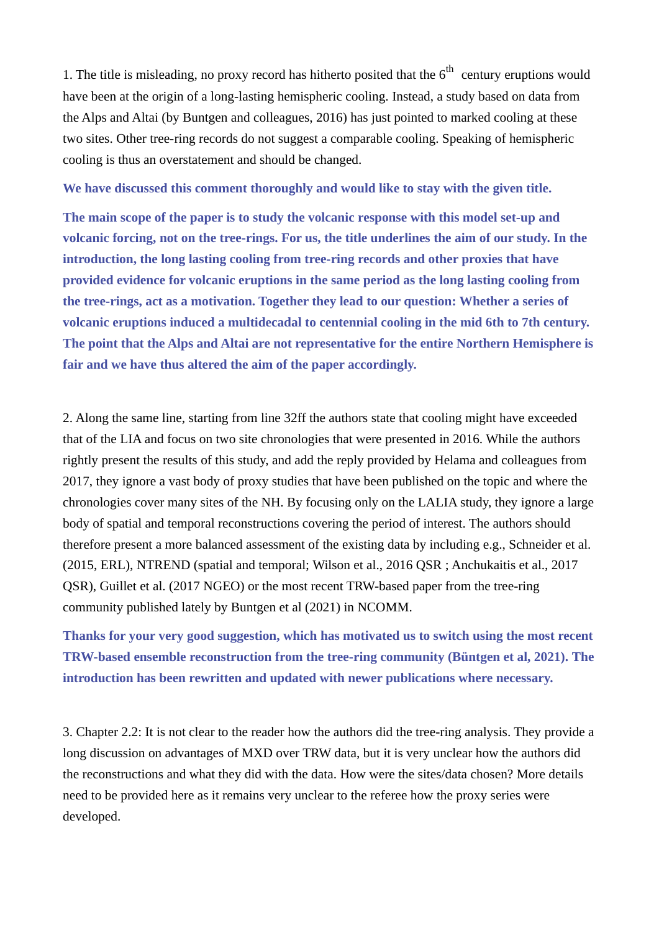1. The title is misleading, no proxy record has hitherto posited that the  $6<sup>th</sup>$  century eruptions would have been at the origin of a long-lasting hemispheric cooling. Instead, a study based on data from the Alps and Altai (by Buntgen and colleagues, 2016) has just pointed to marked cooling at these two sites. Other tree-ring records do not suggest a comparable cooling. Speaking of hemispheric cooling is thus an overstatement and should be changed.

**We have discussed this comment thoroughly and would like to stay with the given title.**

**The main scope of the paper is to study the volcanic response with this model set-up and volcanic forcing, not on the tree-rings. For us, the title underlines the aim of our study. In the introduction, the long lasting cooling from tree-ring records and other proxies that have provided evidence for volcanic eruptions in the same period as the long lasting cooling from the tree-rings, act as a motivation. Together they lead to our question: Whether a series of volcanic eruptions induced a multidecadal to centennial cooling in the mid 6th to 7th century. The point that the Alps and Altai are not representative for the entire Northern Hemisphere is fair and we have thus altered the aim of the paper accordingly.**

2. Along the same line, starting from line 32ff the authors state that cooling might have exceeded that of the LIA and focus on two site chronologies that were presented in 2016. While the authors rightly present the results of this study, and add the reply provided by Helama and colleagues from 2017, they ignore a vast body of proxy studies that have been published on the topic and where the chronologies cover many sites of the NH. By focusing only on the LALIA study, they ignore a large body of spatial and temporal reconstructions covering the period of interest. The authors should therefore present a more balanced assessment of the existing data by including e.g., Schneider et al. (2015, ERL), NTREND (spatial and temporal; Wilson et al., 2016 QSR ; Anchukaitis et al., 2017 QSR), Guillet et al. (2017 NGEO) or the most recent TRW-based paper from the tree-ring community published lately by Buntgen et al (2021) in NCOMM.

**Thanks for your very good suggestion, which has motivated us to switch using the most recent TRW-based ensemble reconstruction from the tree-ring community (Büntgen et al, 2021). The introduction has been rewritten and updated with newer publications where necessary.**

3. Chapter 2.2: It is not clear to the reader how the authors did the tree-ring analysis. They provide a long discussion on advantages of MXD over TRW data, but it is very unclear how the authors did the reconstructions and what they did with the data. How were the sites/data chosen? More details need to be provided here as it remains very unclear to the referee how the proxy series were developed.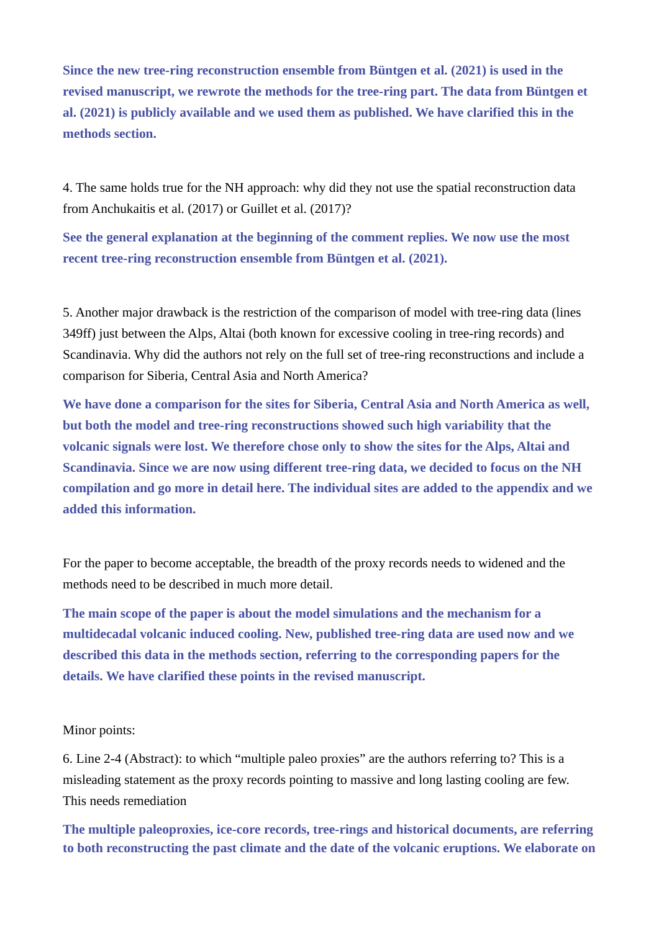**Since the new tree-ring reconstruction ensemble from Büntgen et al. (2021) is used in the revised manuscript, we rewrote the methods for the tree-ring part. The data from Büntgen et al. (2021) is publicly available and we used them as published. We have clarified this in the methods section.**

4. The same holds true for the NH approach: why did they not use the spatial reconstruction data from Anchukaitis et al. (2017) or Guillet et al. (2017)?

**See the general explanation at the beginning of the comment replies. We now use the most recent tree-ring reconstruction ensemble from Büntgen et al. (2021).**

5. Another major drawback is the restriction of the comparison of model with tree-ring data (lines 349ff) just between the Alps, Altai (both known for excessive cooling in tree-ring records) and Scandinavia. Why did the authors not rely on the full set of tree-ring reconstructions and include a comparison for Siberia, Central Asia and North America?

**We have done a comparison for the sites for Siberia, Central Asia and North America as well, but both the model and tree-ring reconstructions showed such high variability that the volcanic signals were lost. We therefore chose only to show the sites for the Alps, Altai and Scandinavia. Since we are now using different tree-ring data, we decided to focus on the NH compilation and go more in detail here. The individual sites are added to the appendix and we added this information.**

For the paper to become acceptable, the breadth of the proxy records needs to widened and the methods need to be described in much more detail.

**The main scope of the paper is about the model simulations and the mechanism for a multidecadal volcanic induced cooling. New, published tree-ring data are used now and we described this data in the methods section, referring to the corresponding papers for the details. We have clarified these points in the revised manuscript.**

## Minor points:

6. Line 2-4 (Abstract): to which "multiple paleo proxies" are the authors referring to? This is a misleading statement as the proxy records pointing to massive and long lasting cooling are few. This needs remediation

**The multiple paleoproxies, ice-core records, tree-rings and historical documents, are referring to both reconstructing the past climate and the date of the volcanic eruptions. We elaborate on**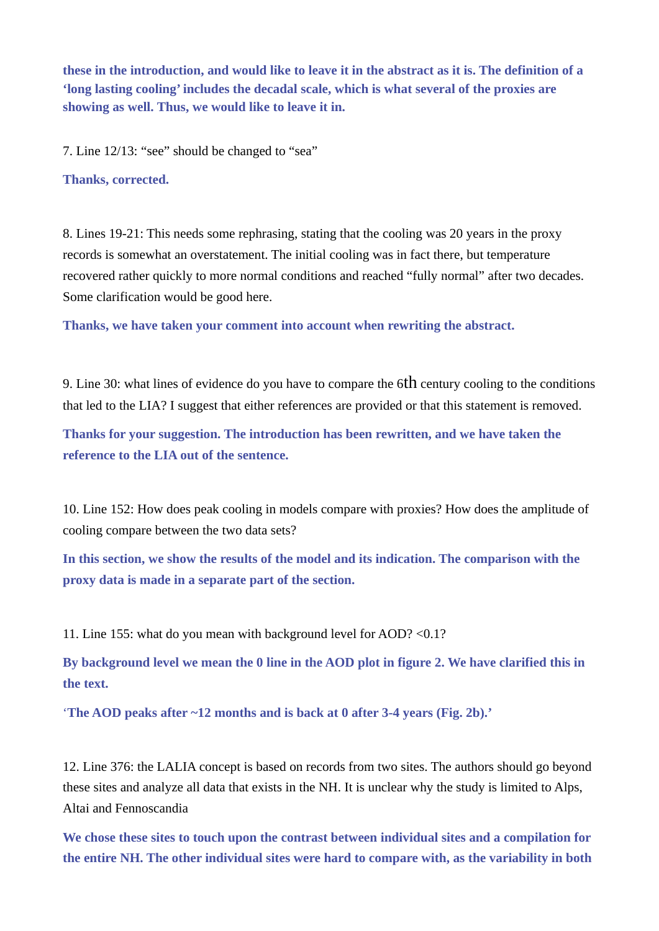**these in the introduction, and would like to leave it in the abstract as it is. The definition of a 'long lasting cooling' includes the decadal scale, which is what several of the proxies are showing as well. Thus, we would like to leave it in.**

7. Line 12/13: "see" should be changed to "sea"

**Thanks, corrected.**

8. Lines 19-21: This needs some rephrasing, stating that the cooling was 20 years in the proxy records is somewhat an overstatement. The initial cooling was in fact there, but temperature recovered rather quickly to more normal conditions and reached "fully normal" after two decades. Some clarification would be good here.

**Thanks, we have taken your comment into account when rewriting the abstract.**

9. Line 30: what lines of evidence do you have to compare the  $6th$  century cooling to the conditions that led to the LIA? I suggest that either references are provided or that this statement is removed.

**Thanks for your suggestion. The introduction has been rewritten, and we have taken the reference to the LIA out of the sentence.**

10. Line 152: How does peak cooling in models compare with proxies? How does the amplitude of cooling compare between the two data sets?

**In this section, we show the results of the model and its indication. The comparison with the proxy data is made in a separate part of the section.**

11. Line 155: what do you mean with background level for AOD? <0.1?

**By background level we mean the 0 line in the AOD plot in figure 2. We have clarified this in the text.**

'**The AOD peaks after ~12 months and is back at 0 after 3-4 years (Fig. 2b).'**

12. Line 376: the LALIA concept is based on records from two sites. The authors should go beyond these sites and analyze all data that exists in the NH. It is unclear why the study is limited to Alps, Altai and Fennoscandia

**We chose these sites to touch upon the contrast between individual sites and a compilation for the entire NH. The other individual sites were hard to compare with, as the variability in both**